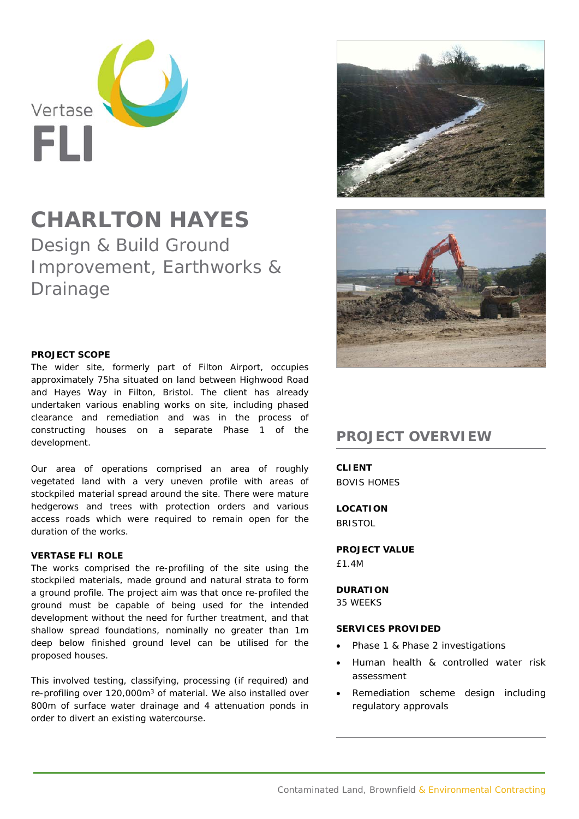

# **CHARLTON HAYES**

Design & Build Ground Improvement, Earthworks & Drainage

## **PROJECT SCOPE**

The wider site, formerly part of Filton Airport, occupies approximately 75ha situated on land between Highwood Road and Hayes Way in Filton, Bristol. The client has already undertaken various enabling works on site, including phased clearance and remediation and was in the process of constructing houses on a separate Phase 1 of the development.

Our area of operations comprised an area of roughly vegetated land with a very uneven profile with areas of stockpiled material spread around the site. There were mature hedgerows and trees with protection orders and various access roads which were required to remain open for the duration of the works.

### **VERTASE FLI ROLE**

The works comprised the re-profiling of the site using the stockpiled materials, made ground and natural strata to form a ground profile. The project aim was that once re-profiled the ground must be capable of being used for the intended development without the need for further treatment, and that shallow spread foundations, nominally no greater than 1m deep below finished ground level can be utilised for the proposed houses.

This involved testing, classifying, processing (if required) and re-profiling over 120,000m3 of material. We also installed over 800m of surface water drainage and 4 attenuation ponds in order to divert an existing watercourse.





# **PROJECT OVERVIEW**

**CLIENT**  BOVIS HOMES

**LOCATION BRISTOL** 

## **PROJECT VALUE**

£1.4M

### **DURATION**

35 WEEKS

## **SERVICES PROVIDED**

- Phase 1 & Phase 2 investigations
- Human health & controlled water risk assessment
- Remediation scheme design including regulatory approvals